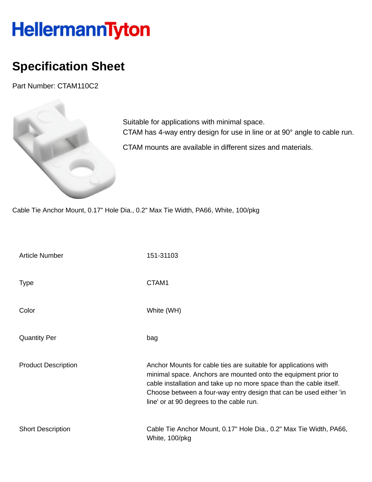## HellermannTyton

## **Specification Sheet**

Part Number: CTAM110C2



Suitable for applications with minimal space. CTAM has 4-way entry design for use in line or at 90° angle to cable run. CTAM mounts are available in different sizes and materials.

Cable Tie Anchor Mount, 0.17" Hole Dia., 0.2" Max Tie Width, PA66, White, 100/pkg

| <b>Article Number</b>      | 151-31103                                                                                                                                                                                                                                                                                                                  |
|----------------------------|----------------------------------------------------------------------------------------------------------------------------------------------------------------------------------------------------------------------------------------------------------------------------------------------------------------------------|
| Type                       | CTAM1                                                                                                                                                                                                                                                                                                                      |
| Color                      | White (WH)                                                                                                                                                                                                                                                                                                                 |
| <b>Quantity Per</b>        | bag                                                                                                                                                                                                                                                                                                                        |
| <b>Product Description</b> | Anchor Mounts for cable ties are suitable for applications with<br>minimal space. Anchors are mounted onto the equipment prior to<br>cable installation and take up no more space than the cable itself.<br>Choose between a four-way entry design that can be used either 'in<br>line' or at 90 degrees to the cable run. |
| <b>Short Description</b>   | Cable Tie Anchor Mount, 0.17" Hole Dia., 0.2" Max Tie Width, PA66,<br>White, 100/pkg                                                                                                                                                                                                                                       |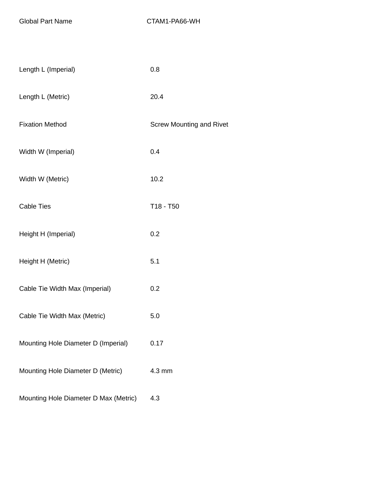| Length L (Imperial)                   | 0.8                             |
|---------------------------------------|---------------------------------|
| Length L (Metric)                     | 20.4                            |
| <b>Fixation Method</b>                | <b>Screw Mounting and Rivet</b> |
| Width W (Imperial)                    | 0.4                             |
| Width W (Metric)                      | 10.2                            |
| <b>Cable Ties</b>                     | T18 - T50                       |
| Height H (Imperial)                   | 0.2                             |
| Height H (Metric)                     | 5.1                             |
| Cable Tie Width Max (Imperial)        | 0.2                             |
| Cable Tie Width Max (Metric)          | 5.0                             |
| Mounting Hole Diameter D (Imperial)   | 0.17                            |
| Mounting Hole Diameter D (Metric)     | 4.3 mm                          |
| Mounting Hole Diameter D Max (Metric) | 4.3                             |